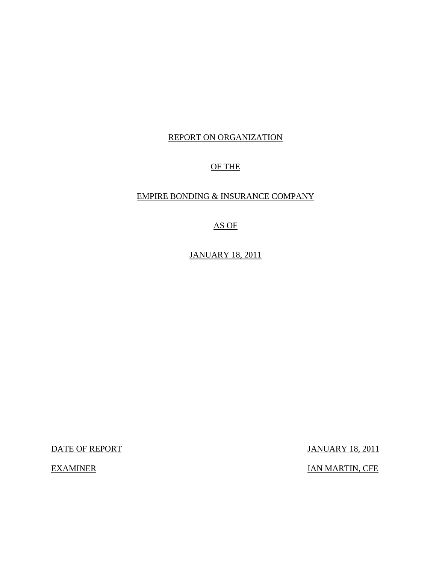## REPORT ON ORGANIZATION

# OF THE

## EMPIRE BONDING & INSURANCE COMPANY

## AS OF

# JANUARY 18, 2011

DATE OF REPORT JANUARY 18, 2011

EXAMINER IAN MARTIN, CFE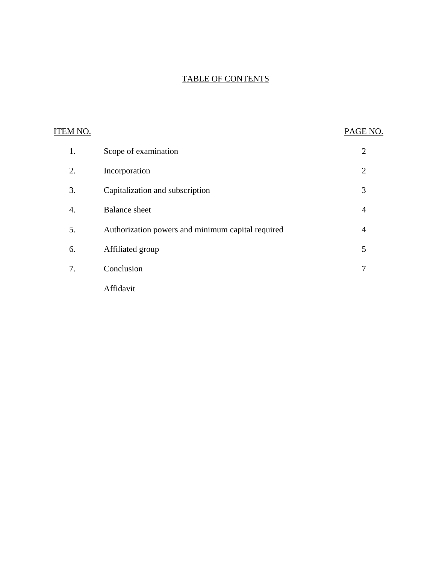# TABLE OF CONTENTS

| ITEM NO. |                                                   | PAGE NO.       |
|----------|---------------------------------------------------|----------------|
| 1.       | Scope of examination                              | $\overline{2}$ |
| 2.       | Incorporation                                     | $\overline{2}$ |
| 3.       | Capitalization and subscription                   | 3              |
| 4.       | <b>Balance</b> sheet                              | $\overline{4}$ |
| 5.       | Authorization powers and minimum capital required | $\overline{4}$ |
| 6.       | Affiliated group                                  | 5              |
| 7.       | Conclusion                                        | 7              |
|          | Affidavit                                         |                |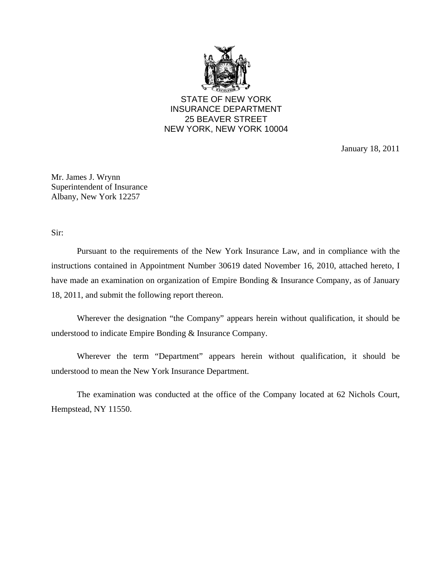

STATE OF NEW YORK INSURANCE DEPARTMENT 25 BEAVER STREET NEW YORK, NEW YORK 10004

January 18, 2011

Mr. James J. Wrynn Superintendent of Insurance Albany, New York 12257

Sir:

Pursuant to the requirements of the New York Insurance Law, and in compliance with the instructions contained in Appointment Number 30619 dated November 16, 2010, attached hereto, I have made an examination on organization of Empire Bonding & Insurance Company, as of January 18, 2011, and submit the following report thereon.

Wherever the designation "the Company" appears herein without qualification, it should be understood to indicate Empire Bonding & Insurance Company.

Wherever the term "Department" appears herein without qualification, it should be understood to mean the New York Insurance Department.

The examination was conducted at the office of the Company located at 62 Nichols Court, Hempstead, NY 11550.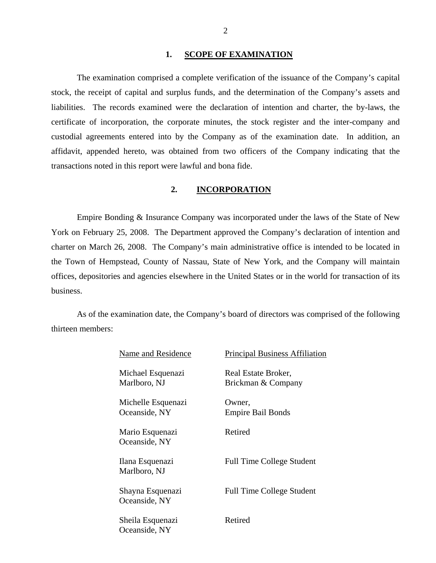### 1. **SCOPE OF EXAMINATION**

<span id="page-3-0"></span>The examination comprised a complete verification of the issuance of the Company's capital stock, the receipt of capital and surplus funds, and the determination of the Company's assets and liabilities. The records examined were the declaration of intention and charter, the by-laws, the certificate of incorporation, the corporate minutes, the stock register and the inter-company and custodial agreements entered into by the Company as of the examination date. In addition, an affidavit, appended hereto, was obtained from two officers of the Company indicating that the transactions noted in this report were lawful and bona fide.

# **2. INCORPORATION**

Empire Bonding & Insurance Company was incorporated under the laws of the State of New York on February 25, 2008. The Department approved the Company's declaration of intention and charter on March 26, 2008. The Company's main administrative office is intended to be located in the Town of Hempstead, County of Nassau, State of New York, and the Company will maintain offices, depositories and agencies elsewhere in the United States or in the world for transaction of its business.

As of the examination date, the Company's board of directors was comprised of the following thirteen members:

| Name and Residence                  | <b>Principal Business Affiliation</b>     |
|-------------------------------------|-------------------------------------------|
| Michael Esquenazi<br>Marlboro, NJ   | Real Estate Broker,<br>Brickman & Company |
| Michelle Esquenazi<br>Oceanside, NY | Owner,<br><b>Empire Bail Bonds</b>        |
| Mario Esquenazi<br>Oceanside, NY    | Retired                                   |
| Ilana Esquenazi<br>Marlboro, NJ     | <b>Full Time College Student</b>          |
| Shayna Esquenazi<br>Oceanside, NY   | <b>Full Time College Student</b>          |
| Sheila Esquenazi<br>Oceanside, NY   | Retired                                   |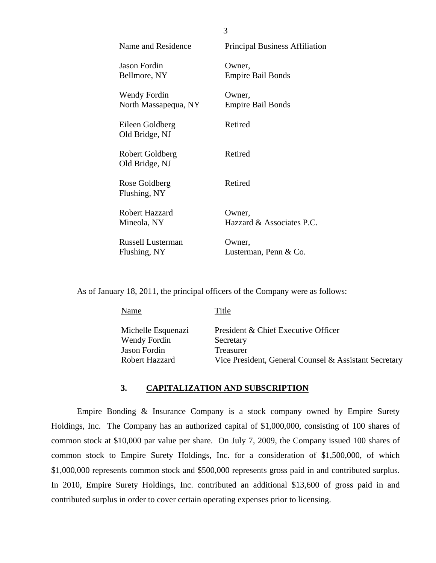<span id="page-4-0"></span>

| <b>Name and Residence</b>         | <b>Principal Business Affiliation</b> |
|-----------------------------------|---------------------------------------|
| Jason Fordin                      | Owner,                                |
| Bellmore, NY                      | <b>Empire Bail Bonds</b>              |
| Wendy Fordin                      | Owner,                                |
| North Massapequa, NY              | <b>Empire Bail Bonds</b>              |
| Eileen Goldberg<br>Old Bridge, NJ | Retired                               |
| Robert Goldberg<br>Old Bridge, NJ | Retired                               |
| Rose Goldberg<br>Flushing, NY     | Retired                               |
| Robert Hazzard                    | Owner,                                |
| Mineola, NY                       | Hazzard $\&$ Associates P.C.          |
| Russell Lusterman                 | Owner,                                |
| Flushing, NY                      | Lusterman, Penn & Co.                 |

As of January 18, 2011, the principal officers of the Company were as follows:

| Michelle Esquenazi<br>President & Chief Executive Officer<br>Wendy Fordin<br>Secretary<br>Jason Fordin<br><b>Treasurer</b><br><b>Robert Hazzard</b> | <b>Name</b> | Title                                                 |
|-----------------------------------------------------------------------------------------------------------------------------------------------------|-------------|-------------------------------------------------------|
|                                                                                                                                                     |             | Vice President, General Counsel & Assistant Secretary |

## **3. CAPITALIZATION AND SUBSCRIPTION**

Empire Bonding & Insurance Company is a stock company owned by Empire Surety Holdings, Inc. The Company has an authorized capital of \$1,000,000, consisting of 100 shares of common stock at \$10,000 par value per share. On July 7, 2009, the Company issued 100 shares of common stock to Empire Surety Holdings, Inc. for a consideration of \$1,500,000, of which \$1,000,000 represents common stock and \$500,000 represents gross paid in and contributed surplus. In 2010, Empire Surety Holdings, Inc. contributed an additional \$13,600 of gross paid in and contributed surplus in order to cover certain operating expenses prior to licensing.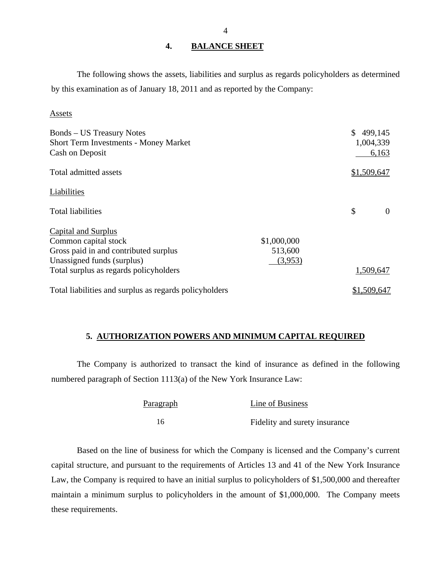## **4. BALANCE SHEET**

The following shows the assets, liabilities and surplus as regards policyholders as determined by this examination as of January 18, 2011 and as reported by the Company:

### **Assets**

| <b>Bonds</b> – US Treasury Notes<br><b>Short Term Investments - Money Market</b><br>Cash on Deposit |             | 499,145<br>1,004,339<br>6,163 |
|-----------------------------------------------------------------------------------------------------|-------------|-------------------------------|
| Total admitted assets                                                                               |             | \$1,509,647                   |
| Liabilities                                                                                         |             |                               |
| <b>Total liabilities</b>                                                                            |             | \$<br>$\theta$                |
| Capital and Surplus                                                                                 |             |                               |
| Common capital stock                                                                                | \$1,000,000 |                               |
| Gross paid in and contributed surplus                                                               | 513,600     |                               |
| Unassigned funds (surplus)                                                                          | (3,953)     |                               |
| Total surplus as regards policyholders                                                              |             | 1,509,647                     |
| Total liabilities and surplus as regards policyholders                                              | \$1,509,647 |                               |

## **5. AUTHORIZATION POWERS AND MINIMUM CAPITAL REQUIRED**

The Company is authorized to transact the kind of insurance as defined in the following numbered paragraph of Section 1113(a) of the New York Insurance Law:

| <b>Paragraph</b> | Line of Business              |
|------------------|-------------------------------|
| 16               | Fidelity and surety insurance |

Based on the line of business for which the Company is licensed and the Company's current capital structure, and pursuant to the requirements of Articles 13 and 41 of the New York Insurance Law, the Company is required to have an initial surplus to policyholders of \$1,500,000 and thereafter maintain a minimum surplus to policyholders in the amount of \$1,000,000. The Company meets these requirements.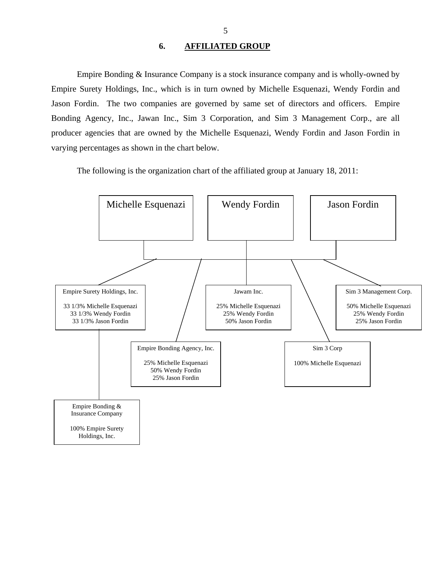## **6. AFFILIATED GROUP**

<span id="page-6-0"></span>Empire Bonding & Insurance Company is a stock insurance company and is wholly-owned by Empire Surety Holdings, Inc., which is in turn owned by Michelle Esquenazi, Wendy Fordin and Jason Fordin. The two companies are governed by same set of directors and officers. Empire Bonding Agency, Inc., Jawan Inc., Sim 3 Corporation, and Sim 3 Management Corp., are all producer agencies that are owned by the Michelle Esquenazi, Wendy Fordin and Jason Fordin in varying percentages as shown in the chart below.

The following is the organization chart of the affiliated group at January 18, 2011:

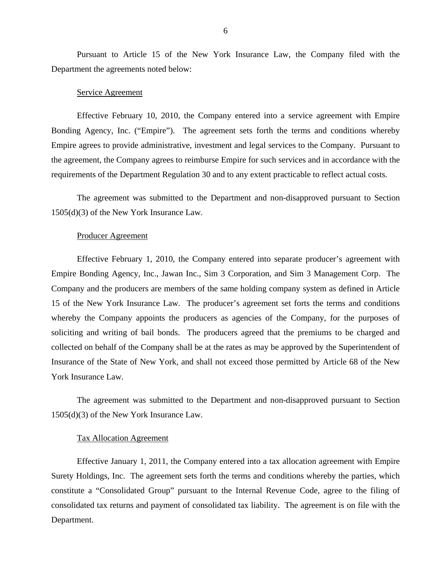Pursuant to Article 15 of the New York Insurance Law, the Company filed with the Department the agreements noted below:

#### Service Agreement

Effective February 10, 2010, the Company entered into a service agreement with Empire Bonding Agency, Inc. ("Empire"). The agreement sets forth the terms and conditions whereby Empire agrees to provide administrative, investment and legal services to the Company. Pursuant to the agreement, the Company agrees to reimburse Empire for such services and in accordance with the requirements of the Department Regulation 30 and to any extent practicable to reflect actual costs.

The agreement was submitted to the Department and non-disapproved pursuant to Section 1505(d)(3) of the New York Insurance Law.

#### Producer Agreement

Effective February 1, 2010, the Company entered into separate producer's agreement with Empire Bonding Agency, Inc., Jawan Inc., Sim 3 Corporation, and Sim 3 Management Corp. The Company and the producers are members of the same holding company system as defined in Article 15 of the New York Insurance Law. The producer's agreement set forts the terms and conditions whereby the Company appoints the producers as agencies of the Company, for the purposes of soliciting and writing of bail bonds. The producers agreed that the premiums to be charged and collected on behalf of the Company shall be at the rates as may be approved by the Superintendent of Insurance of the State of New York, and shall not exceed those permitted by Article 68 of the New York Insurance Law.

The agreement was submitted to the Department and non-disapproved pursuant to Section 1505(d)(3) of the New York Insurance Law.

#### Tax Allocation Agreement

Effective January 1, 2011, the Company entered into a tax allocation agreement with Empire Surety Holdings, Inc. The agreement sets forth the terms and conditions whereby the parties, which constitute a "Consolidated Group" pursuant to the Internal Revenue Code, agree to the filing of consolidated tax returns and payment of consolidated tax liability. The agreement is on file with the Department.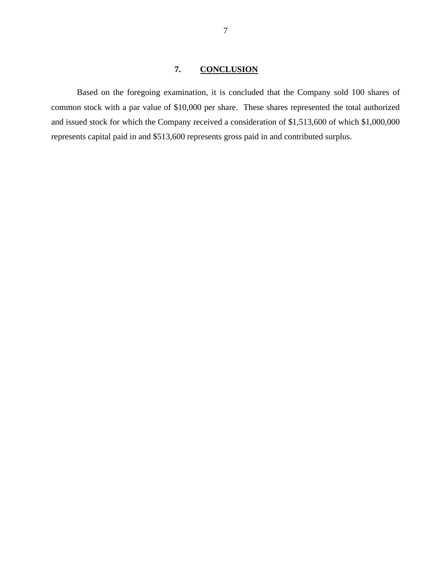## **7. CONCLUSION**

<span id="page-8-0"></span>Based on the foregoing examination, it is concluded that the Company sold 100 shares of common stock with a par value of \$10,000 per share. These shares represented the total authorized and issued stock for which the Company received a consideration of \$1,513,600 of which \$1,000,000 represents capital paid in and \$513,600 represents gross paid in and contributed surplus.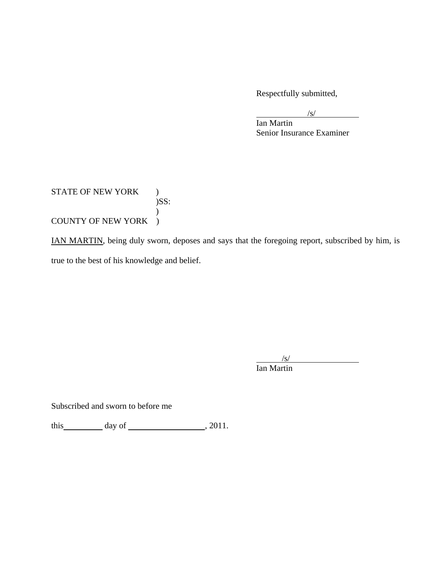Respectfully submitted,

 $\sqrt{s/2}$  $\sqrt{s}$ /s/

 Ian Martin Senior Insurance Examiner

STATE OF NEW YORK ) )SS:  $\mathcal{L}$ COUNTY OF NEW YORK )

IAN MARTIN, being duly sworn, deposes and says that the foregoing report, subscribed by him, is true to the best of his knowledge and belief.

 $\sqrt{s}$  Ian Martin  $\sqrt{s}$ /s/

Subscribed and sworn to before me

this  $\qquad \qquad \text{day of} \qquad \qquad .2011.$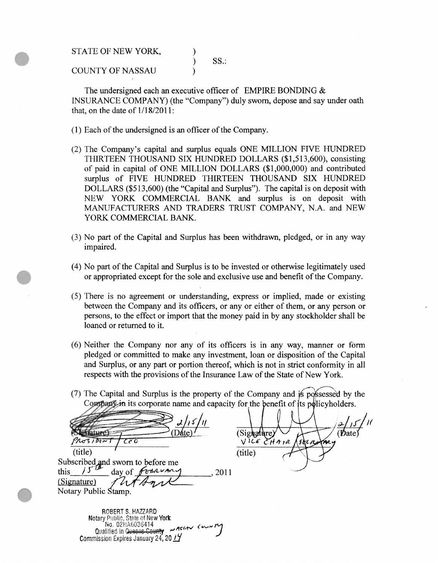STATE OF NEW YORK,

STATE OF NEW YORK,<br>
COUNTY OF NASSAU
<sup>1</sup> COUNTY OF NASSAU (1)

The undersigned each an executive officer of EMPIRE BONDING & INSURANCE COMPANY) (the "Company") duly sworn, depose and say under oath that, on the date of  $1/18/2011$ :

- (1) Each of the undersigned is an officer of the Company.
- (2) The Company's capital and surplus equals ONE MILLION FIVE HUNDRED THIRTEEN THOUSAND SIX HUNDRED DOLLARS (\$1,513,600), consisting of paid in capital of ONE MILLION DOLLARS (\$1,000,000) and contributed surplus of FIVE HUNDRED THIRTEEN THOUSAND SIX HUNDRED DOLLARS (\$513,600) (the "Capital and Surplus"). The capital is on deposit with NEW YORK COMMERCIAL BANK and surplus is on deposit with MANUFACTURERS AND TRADERS TRUST COMPANY, N.A. and NEW YORK COMMERCIAL BANK.
- (3) No part of the Capital and Surplus has been withdrawn, pledged, or in any way impaired.
- (4) No part of the Capital and Surplus is to be invested or otherwise legitimately used<br>or appropriated except for the sole and exclusive use and benefit of the Company.<br>(5) There is no agreement or understanding, express or appropriated except for the sole and exclusive use and benefit of the Company.
	- (5) There is no agreement or understanding, express or implied, made or existing between the Company and its officers, or any or either of them, or any person or persons, to the effect or import that the money paid in by any stockholder shall be loaned or returned to it.
	- (6) Neither the Company nor any of its officers is in any way, manner or form pledged or committed to make any investment, loan or disposition of the Capital and Surplus, or any part or portion thereof, which is not in strict conformity in all respects with the provisions of the Insurance Law of the State of New York.
	- $(7)$  The Capital and Surplus is the property of the Company and is possessed by the Company in its corporate name and capacity for the benefit of its policyholders.

 $\frac{1}{s}$   $\frac{1}{s}$   $\frac{1}{s}$   $\frac{1}{s}$   $\frac{1}{s}$   $\frac{1}{s}$  (Signature)  $\frac{1}{s}$  (Date)  $\frac{1}{s}$  (Date)  $(\text{title})$   $(\text{title})$ Subscribed, and sworn to before me this  $15^{\mu}$  day of *fthrowing* 2011 (Signature) Notary Public

 $\frac{\sqrt{12\epsilon} \mathcal{E} H \pi r}{\text{(title)}}$ 

ROBERT **S.** HAZZARD Notary Pulllic, State of New **York**  ~o. 021-1A6036414 , **(.,...,,..,7** Qualified in Queens County **-Active** Commission Expires January 24, 20  $17$